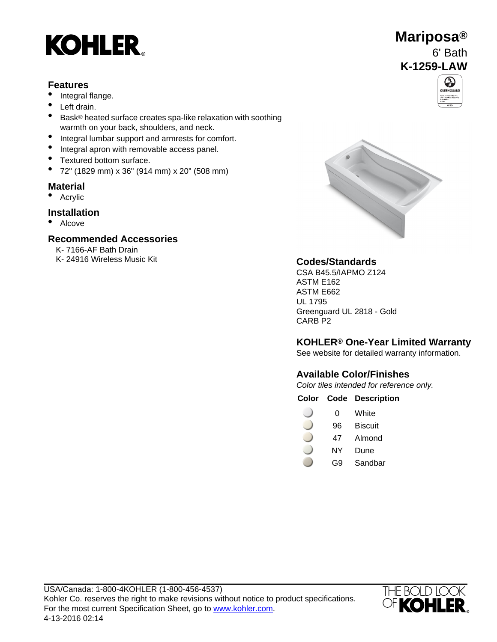

#### **Features**

- Integral flange.
- Left drain.
- Bask® heated surface creates spa-like relaxation with soothing warmth on your back, shoulders, and neck.
- Integral lumbar support and armrests for comfort.
- Integral apron with removable access panel.
- Textured bottom surface.
- 72" (1829 mm) x 36" (914 mm) x 20" (508 mm)

#### **Material**

• Acrylic

#### **Installation**

• Alcove

#### **Recommended Accessories**

K- 7166-AF Bath Drain K- 24916 Wireless Music Kit **Codes/Standards**







CSA B45.5/IAPMO Z124 ASTM E162 ASTM E662 UL 1795 Greenguard UL 2818 - Gold CARB P2

### **KOHLER® One-Year Limited Warranty**

See website for detailed warranty information.

#### **Available Color/Finishes**

Color tiles intended for reference only.

#### **Color Code Description**

- 0 White
- 96 Biscuit
- 47 Almond
- NY Dune
- G9 Sandbar